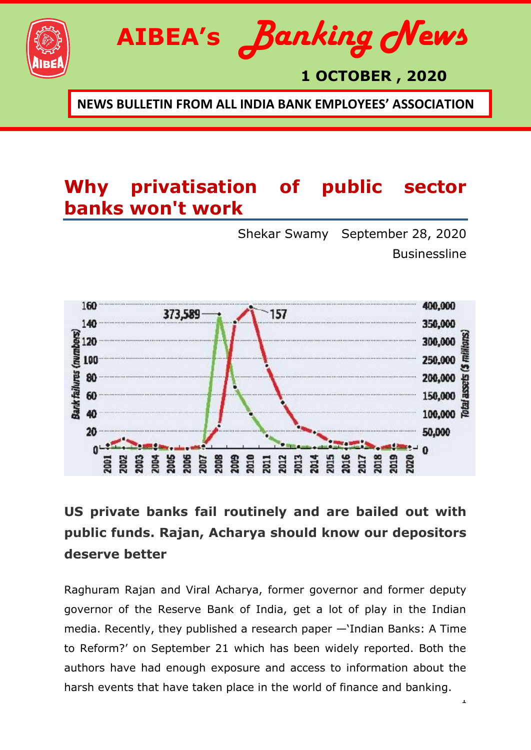

## **1 OCTOBER , 2020**

**NEWS BULLETIN FROM ALL INDIA BANK EMPLOYEES' ASSOCIATION**

## **Why privatisation of public sector banks won't work**

[Shekar Swamy](https://www.thehindubusinessline.com/profile/author/Shekar-Swamy-138019/) September 28, 2020 **Businessline** 

1



## **US private banks fail routinely and are bailed out with public funds. Rajan, Acharya should know our depositors deserve better**

Raghuram Rajan and Viral Acharya, former governor and former deputy governor of the Reserve Bank of India, get a lot of play in the Indian media. Recently, they published a research paper -'Indian Banks: A Time to Reform?' on September 21 which has been widely reported. Both the authors have had enough exposure and access to information about the harsh events that have taken place in the world of finance and banking.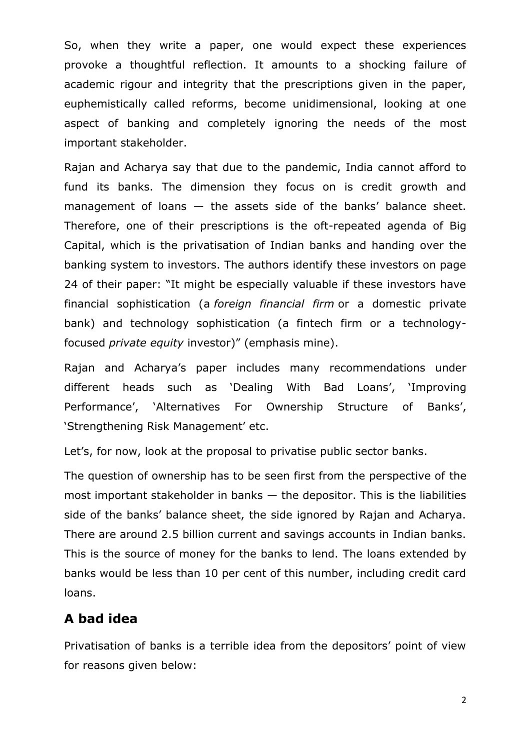So, when they write a paper, one would expect these experiences provoke a thoughtful reflection. It amounts to a shocking failure of academic rigour and integrity that the prescriptions given in the paper, euphemistically called reforms, become unidimensional, looking at one aspect of banking and completely ignoring the needs of the most important stakeholder.

Rajan and Acharya say that due to the pandemic, India cannot afford to fund its banks. The dimension they focus on is credit growth and management of loans — the assets side of the banks' balance sheet. Therefore, one of their prescriptions is the oft-repeated agenda of Big Capital, which is the privatisation of Indian banks and handing over the banking system to investors. The authors identify these investors on page 24 of their paper: "It might be especially valuable if these investors have financial sophistication (a *foreign financial firm* or a domestic private bank) and technology sophistication (a fintech firm or a technologyfocused *private equity* investor)" (emphasis mine).

Rajan and Acharya's paper includes many recommendations under different heads such as 'Dealing With Bad Loans', 'Improving Performance', 'Alternatives For Ownership Structure of Banks', 'Strengthening Risk Management' etc.

Let's, for now, look at the proposal to privatise public sector banks.

The question of ownership has to be seen first from the perspective of the most important stakeholder in banks  $-$  the depositor. This is the liabilities side of the banks' balance sheet, the side ignored by Rajan and Acharya. There are around 2.5 billion current and savings accounts in Indian banks. This is the source of money for the banks to lend. The loans extended by banks would be less than 10 per cent of this number, including credit card loans.

#### **A bad idea**

Privatisation of banks is a terrible idea from the depositors' point of view for reasons given below: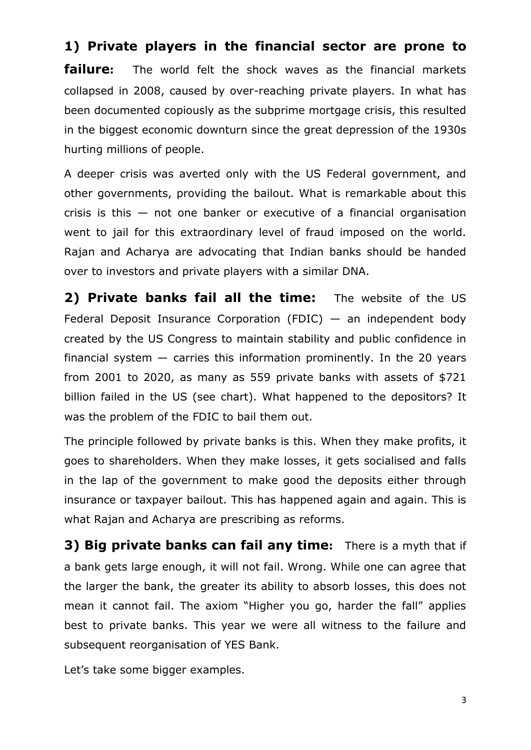#### **1) Private players in the financial sector are prone to**

**failure:** The world felt the shock waves as the financial markets collapsed in 2008, caused by over-reaching private players. In what has been documented copiously as the subprime mortgage crisis, this resulted in the biggest economic downturn since the great depression of the 1930s hurting millions of people.

A deeper crisis was averted only with the US Federal government, and other governments, providing the bailout. What is remarkable about this crisis is this — not one banker or executive of a financial organisation went to jail for this extraordinary level of fraud imposed on the world. Rajan and Acharya are advocating that Indian banks should be handed over to investors and private players with a similar DNA.

**2) Private banks fail all the time:** The website of the US Federal Deposit Insurance Corporation (FDIC)  $-$  an independent body created by the US Congress to maintain stability and public confidence in financial system  $-$  carries this information prominently. In the 20 years from 2001 to 2020, as many as 559 private banks with assets of \$721 billion failed in the US (see chart). What happened to the depositors? It was the problem of the FDIC to bail them out.

The principle followed by private banks is this. When they make profits, it goes to shareholders. When they make losses, it gets socialised and falls in the lap of the government to make good the deposits either through insurance or taxpayer bailout. This has happened again and again. This is what Rajan and Acharya are prescribing as reforms.

**3) Big private banks can fail any time:** There is a myth that if a bank gets large enough, it will not fail. Wrong. While one can agree that the larger the bank, the greater its ability to absorb losses, this does not mean it cannot fail. The axiom "Higher you go, harder the fall" applies best to private banks. This year we were all witness to the failure and subsequent reorganisation of YES Bank.

Let's take some bigger examples.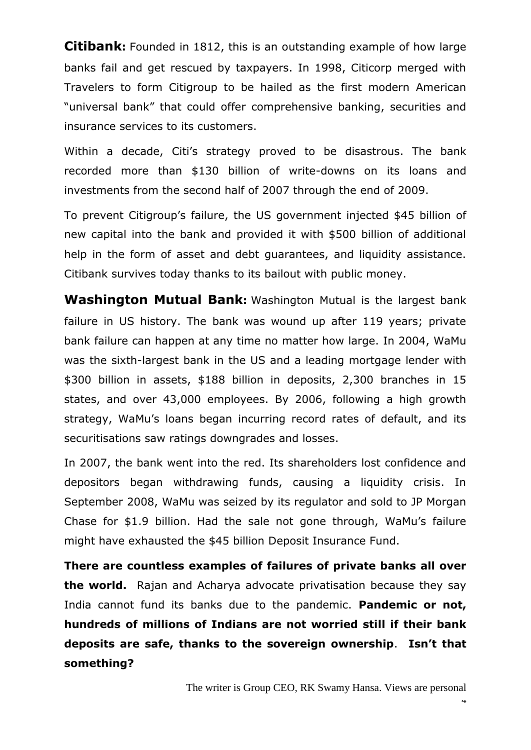**Citibank:** Founded in 1812, this is an outstanding example of how large banks fail and get rescued by taxpayers. In 1998, Citicorp merged with Travelers to form Citigroup to be hailed as the first modern American "universal bank" that could offer comprehensive banking, securities and insurance services to its customers.

Within a decade, Citi's strategy proved to be disastrous. The bank recorded more than \$130 billion of write-downs on its loans and investments from the second half of 2007 through the end of 2009.

To prevent Citigroup's failure, the US government injected \$45 billion of new capital into the bank and provided it with \$500 billion of additional help in the form of asset and debt guarantees, and liquidity assistance. Citibank survives today thanks to its bailout with public money.

**Washington Mutual Bank:** Washington Mutual is the largest bank failure in US history. The bank was wound up after 119 years; private bank failure can happen at any time no matter how large. In 2004, WaMu was the sixth-largest bank in the US and a leading mortgage lender with \$300 billion in assets, \$188 billion in deposits, 2,300 branches in 15 states, and over 43,000 employees. By 2006, following a high growth strategy, WaMu's loans began incurring record rates of default, and its securitisations saw ratings downgrades and losses.

In 2007, the bank went into the red. Its shareholders lost confidence and depositors began withdrawing funds, causing a liquidity crisis. In September 2008, WaMu was seized by its regulator and sold to JP Morgan Chase for \$1.9 billion. Had the sale not gone through, WaMu's failure might have exhausted the \$45 billion Deposit Insurance Fund.

**There are countless examples of failures of private banks all over the world.** Rajan and Acharya advocate privatisation because they say India cannot fund its banks due to the pandemic. **Pandemic or not, hundreds of millions of Indians are not worried still if their bank deposits are safe, thanks to the sovereign ownership**. **Isn"t that something?**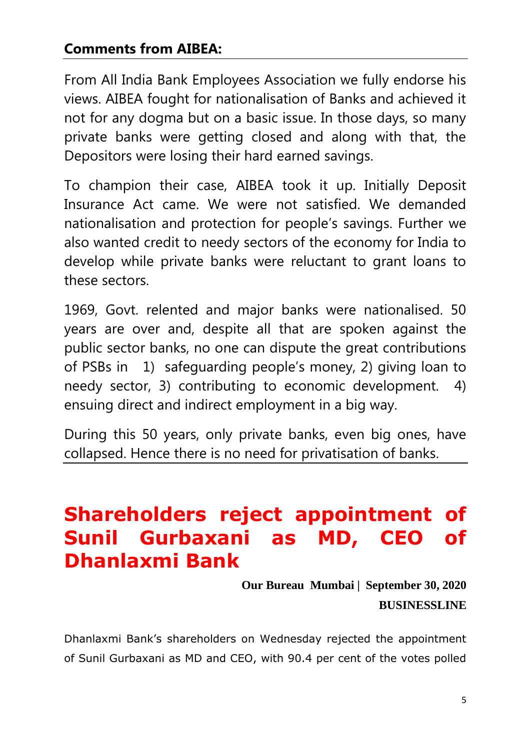### **Comments from AIBEA:**

From All India Bank Employees Association we fully endorse his views. AIBEA fought for nationalisation of Banks and achieved it not for any dogma but on a basic issue. In those days, so many private banks were getting closed and along with that, the Depositors were losing their hard earned savings.

To champion their case, AIBEA took it up. Initially Deposit Insurance Act came. We were not satisfied. We demanded nationalisation and protection for people's savings. Further we also wanted credit to needy sectors of the economy for India to develop while private banks were reluctant to grant loans to these sectors.

1969, Govt. relented and major banks were nationalised. 50 years are over and, despite all that are spoken against the public sector banks, no one can dispute the great contributions of PSBs in 1) safeguarding people's money, 2) giving loan to needy sector, 3) contributing to economic development. 4) ensuing direct and indirect employment in a big way.

During this 50 years, only private banks, even big ones, have collapsed. Hence there is no need for privatisation of banks.

## **Shareholders reject appointment of Sunil Gurbaxani as MD, CEO of Dhanlaxmi Bank**

**[Our Bureau](https://www.thehindubusinessline.com/profile/author/Our-Bureau-15447/) Mumbai | September 30, 2020 BUSINESSLINE**

Dhanlaxmi Bank's shareholders on Wednesday rejected the appointment of Sunil Gurbaxani as MD and CEO, with 90.4 per cent of the votes polled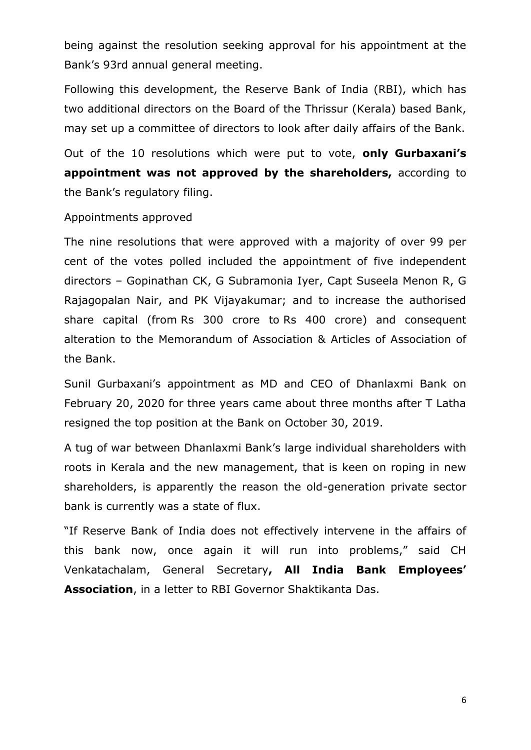being against the resolution seeking approval for his appointment at the Bank's 93rd annual general meeting.

Following this development, the Reserve Bank of India (RBI), which has two additional directors on the Board of the Thrissur (Kerala) based Bank, may set up a committee of directors to look after daily affairs of the Bank.

Out of the 10 resolutions which were put to vote, **only Gurbaxani"s appointment was not approved by the shareholders,** according to the Bank's regulatory filing.

#### Appointments approved

The nine resolutions that were approved with a majority of over 99 per cent of the votes polled included the appointment of five independent directors – Gopinathan CK, G Subramonia Iyer, Capt Suseela Menon R, G Rajagopalan Nair, and PK Vijayakumar; and to increase the authorised share capital (from Rs 300 crore to Rs 400 crore) and consequent alteration to the Memorandum of Association & Articles of Association of the Bank.

Sunil Gurbaxani's appointment as MD and CEO of Dhanlaxmi Bank on February 20, 2020 for three years came about three months after T Latha resigned the top position at the Bank on October 30, 2019.

A tug of war between Dhanlaxmi Bank's large individual shareholders with roots in Kerala and the new management, that is keen on roping in new shareholders, is apparently the reason the old-generation private sector bank is currently was a state of flux.

"If Reserve Bank of India does not effectively intervene in the affairs of this bank now, once again it will run into problems," said CH Venkatachalam, General Secretary**, All India Bank Employees" Association**, in a letter to RBI Governor Shaktikanta Das.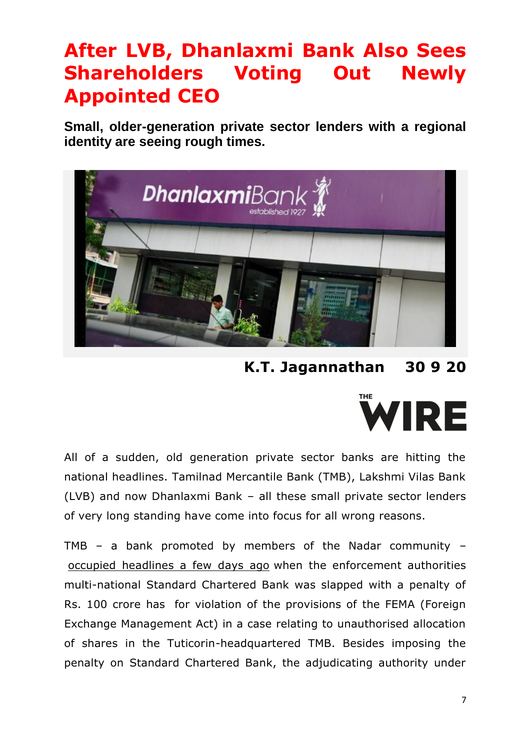## **After LVB, Dhanlaxmi Bank Also Sees Shareholders Voting Out Newly Appointed CEO**

**Small, older-generation private sector lenders with a regional identity are seeing rough times.**



**[K.T. Jagannathan](https://thewire.in/author/k-t-jagannathan) 30 9 20**



All of a sudden, old generation private sector banks are hitting the national headlines. Tamilnad Mercantile Bank (TMB), Lakshmi Vilas Bank (LVB) and now Dhanlaxmi Bank – all these small private sector lenders of very long standing have come into focus for all wrong reasons.

TMB – a bank promoted by members of the Nadar community – [occupied headlines a few days ago](https://thewire.in/banking/rs-100-crore-fine-on-standard-chartered-puts-spotlight-back-on-tamilnad-mercantile-bank) when the enforcement authorities multi-national Standard Chartered Bank was slapped with a penalty of Rs. 100 crore has for violation of the provisions of the FEMA (Foreign Exchange Management Act) in a case relating to unauthorised allocation of shares in the Tuticorin-headquartered TMB. Besides imposing the penalty on Standard Chartered Bank, the adjudicating authority under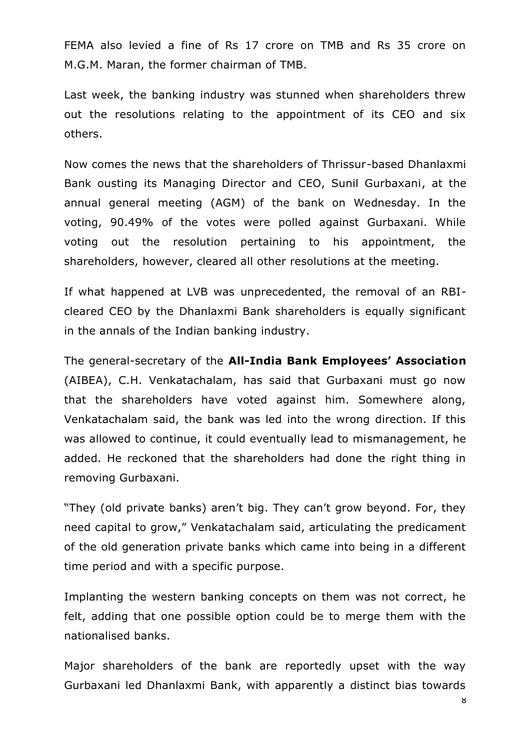FEMA also levied a fine of Rs 17 crore on TMB and Rs 35 crore on M.G.M. Maran, the former chairman of TMB.

Last week, the banking industry was stunned when shareholders threw out the resolutions relating to the appointment of its CEO and six others.

Now comes the news that the shareholders of Thrissur-based Dhanlaxmi Bank ousting its Managing Director and CEO, Sunil Gurbaxani, at the annual general meeting (AGM) of the bank on Wednesday. In the voting, 90.49% of the votes were polled against Gurbaxani. While voting out the resolution pertaining to his appointment, the shareholders, however, cleared all other resolutions at the meeting.

If what happened at LVB was unprecedented, the removal of an RBIcleared CEO by the Dhanlaxmi Bank shareholders is equally significant in the annals of the Indian banking industry.

The general-secretary of the **All-India Bank Employees" Association** (AIBEA), C.H. Venkatachalam, has said that Gurbaxani must go now that the shareholders have voted against him. Somewhere along, Venkatachalam said, the bank was led into the wrong direction. If this was allowed to continue, it could eventually lead to mismanagement, he added. He reckoned that the shareholders had done the right thing in removing Gurbaxani.

"They (old private banks) aren't big. They can't grow beyond. For, they need capital to grow," Venkatachalam said, articulating the predicament of the old generation private banks which came into being in a different time period and with a specific purpose.

Implanting the western banking concepts on them was not correct, he felt, adding that one possible option could be to merge them with the nationalised banks.

Major shareholders of the bank are reportedly upset with the way Gurbaxani led Dhanlaxmi Bank, with apparently a distinct bias towards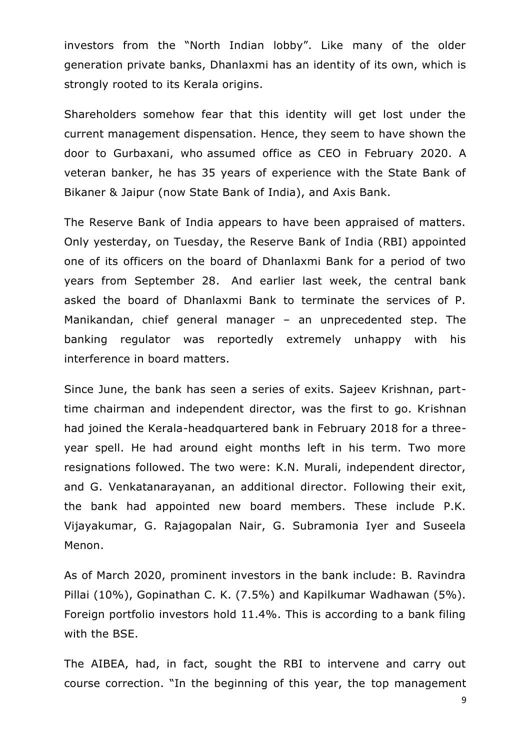investors from the "North Indian lobby". Like many of the older generation private banks, Dhanlaxmi has an identity of its own, which is strongly rooted to its Kerala origins.

Shareholders somehow fear that this identity will get lost under the current management dispensation. Hence, they seem to have shown the door to Gurbaxani, who assumed office as CEO in February 2020. A veteran banker, he has 35 years of experience with the State Bank of Bikaner & Jaipur (now State Bank of India), and Axis Bank.

The Reserve Bank of India appears to have been appraised of matters. Only yesterday, on Tuesday, the Reserve Bank of India (RBI) appointed one of its officers on the board of Dhanlaxmi Bank for a period of two years from September 28. And earlier last week, the central bank asked the board of Dhanlaxmi Bank to terminate the services of P. Manikandan, chief general manager – an unprecedented step. The banking regulator was reportedly extremely unhappy with his interference in board matters.

Since June, the bank has seen a series of exits. Sajeev Krishnan, parttime chairman and independent director, was the first to go. Krishnan had joined the Kerala-headquartered bank in February 2018 for a threeyear spell. He had around eight months left in his term. Two more resignations followed. The two were: K.N. Murali, independent director, and G. Venkatanarayanan, an additional director. Following their exit, the bank had appointed new board members. These include P.K. Vijayakumar, G. Rajagopalan Nair, G. Subramonia Iyer and Suseela Menon.

As of March 2020, prominent investors in the bank include: B. Ravindra Pillai (10%), Gopinathan C. K. (7.5%) and Kapilkumar Wadhawan (5%). Foreign portfolio investors hold 11.4%. This is according to a bank filing with the BSE.

The AIBEA, had, in fact, sought the RBI to intervene and carry out course correction. "In the beginning of this year, the top management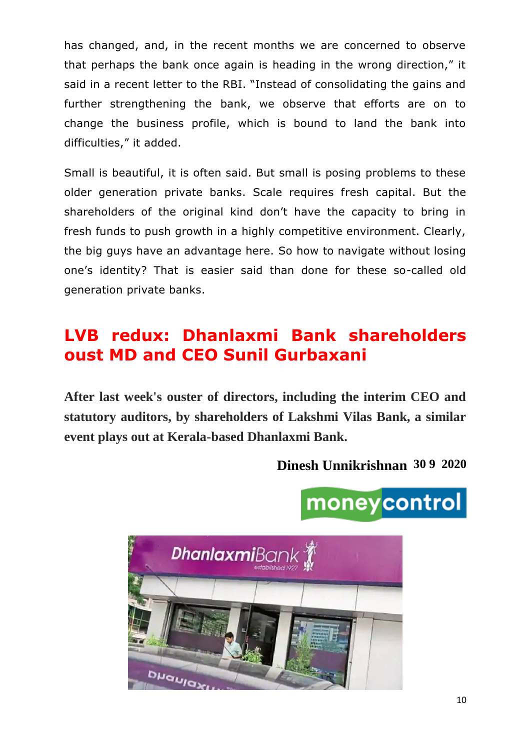has changed, and, in the recent months we are concerned to observe that perhaps the bank once again is heading in the wrong direction," it said in a recent letter to the RBI. "Instead of consolidating the gains and further strengthening the bank, we observe that efforts are on to change the business profile, which is bound to land the bank into difficulties," it added.

Small is beautiful, it is often said. But small is posing problems to these older generation private banks. Scale requires fresh capital. But the shareholders of the original kind don't have the capacity to bring in fresh funds to push growth in a highly competitive environment. Clearly, the big guys have an advantage here. So how to navigate without losing one's identity? That is easier said than done for these so-called old generation private banks.

## **LVB redux: Dhanlaxmi Bank shareholders oust MD and CEO Sunil Gurbaxani**

**After last week's ouster of directors, including the interim CEO and statutory auditors, by shareholders of Lakshmi Vilas Bank, a similar event plays out at Kerala-based Dhanlaxmi Bank.**

#### **[Dinesh Unnikrishnan](https://www.moneycontrol.com/author/dinesh-unnikrishnan-9101/) 30 9 2020**

# moneycontrol

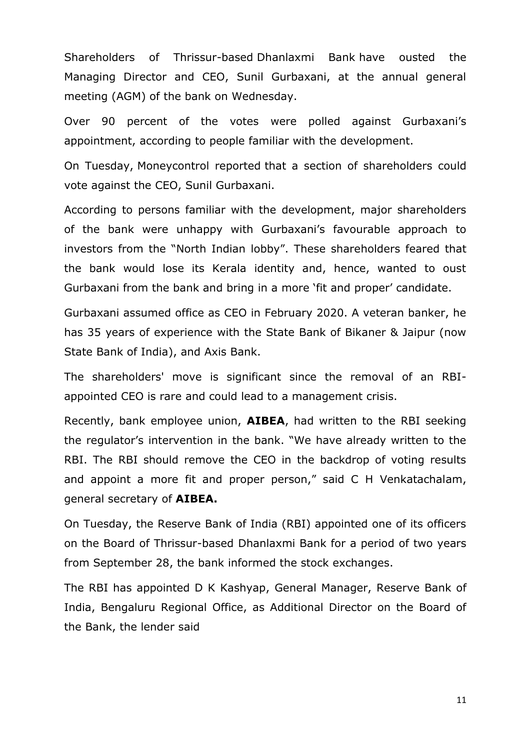Shareholders of Thrissur-based [Dhanlaxmi Bank](https://www.moneycontrol.com/india/stockpricequote/banks-private-sector/dhanlaxmibank/DB01) have ousted the Managing Director and CEO, Sunil Gurbaxani, at the annual general meeting (AGM) of the bank on Wednesday.

Over 90 percent of the votes were polled against Gurbaxani's appointment, according to people familiar with the development.

On Tuesday, [Moneycontrol reported](https://www.moneycontrol.com/news/business/rift-at-the-top-may-reflect-in-dhanlaxmi-banks-agm-tomorrow-5900231.html) that a section of shareholders could vote against the CEO, Sunil Gurbaxani.

According to persons familiar with the development, major shareholders of the bank were unhappy with Gurbaxani's favourable approach to investors from the "North Indian lobby". These shareholders feared that the bank would lose its Kerala identity and, hence, wanted to oust Gurbaxani from the bank and bring in a more 'fit and proper' candidate.

Gurbaxani assumed office as CEO in February 2020. A veteran banker, he has 35 years of experience with the State Bank of Bikaner & Jaipur (now State Bank of India), and Axis Bank.

The shareholders' move is significant since the removal of an RBIappointed CEO is rare and could lead to a management crisis.

Recently, bank employee union, **AIBEA**, had written to the RBI seeking the regulator's intervention in the bank. "We have already written to the RBI. The RBI should remove the CEO in the backdrop of voting results and appoint a more fit and proper person," said C H Venkatachalam, general secretary of **AIBEA.**

On Tuesday, the Reserve Bank of India (RBI) appointed one of its officers on the Board of Thrissur-based Dhanlaxmi Bank for a period of two years from September 28, the bank informed the stock exchanges.

The RBI has appointed D K Kashyap, General Manager, Reserve Bank of India, Bengaluru Regional Office, as Additional Director on the Board of the Bank, the lender said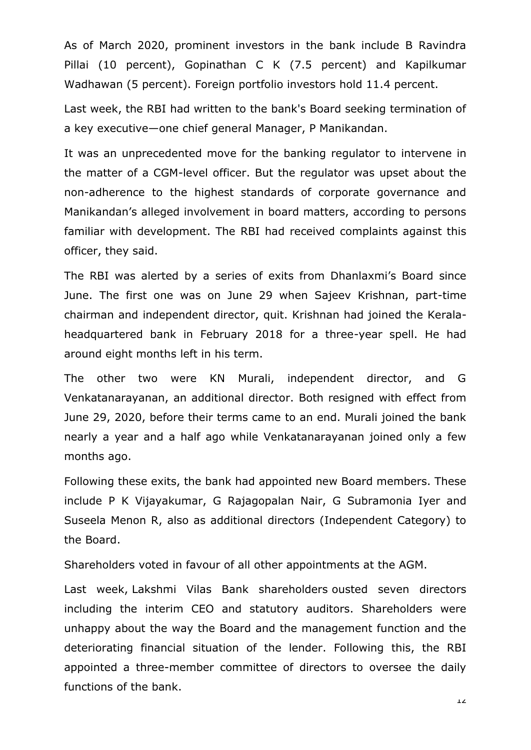As of March 2020, prominent investors in the bank include B Ravindra Pillai (10 percent), Gopinathan C K (7.5 percent) and Kapilkumar Wadhawan (5 percent). Foreign portfolio investors hold 11.4 percent.

Last week, the RBI had written to the bank's Board seeking termination of a key executive—one chief general Manager, P Manikandan.

It was an unprecedented move for the banking regulator to intervene in the matter of a CGM-level officer. But the regulator was upset about the non-adherence to the highest standards of corporate governance and Manikandan's alleged involvement in board matters, according to persons familiar with development. The RBI had received complaints against this officer, they said.

The RBI was alerted by a series of exits from Dhanlaxmi's Board since June. The first one was on June 29 when Sajeev Krishnan, part-time chairman and independent director, quit. Krishnan had joined the Keralaheadquartered bank in February 2018 for a three-year spell. He had around eight months left in his term.

The other two were KN Murali, independent director, and G Venkatanarayanan, an additional director. Both resigned with effect from June 29, 2020, before their terms came to an end. Murali joined the bank nearly a year and a half ago while Venkatanarayanan joined only a few months ago.

Following these exits, the bank had appointed new Board members. These include P K Vijayakumar, G Rajagopalan Nair, G Subramonia Iyer and Suseela Menon R, also as additional directors (Independent Category) to the Board.

Shareholders voted in favour of all other appointments at the AGM.

Last week, [Lakshmi Vilas Bank shareholders](https://www.moneycontrol.com/india/stockpricequote/banks-private-sector/lakshmivilasbank/LVB) ousted seven directors including the interim CEO and statutory auditors. Shareholders were unhappy about the way the Board and the management function and the deteriorating financial situation of the lender. Following this, the RBI appointed a three-member committee of directors to oversee the daily functions of the bank.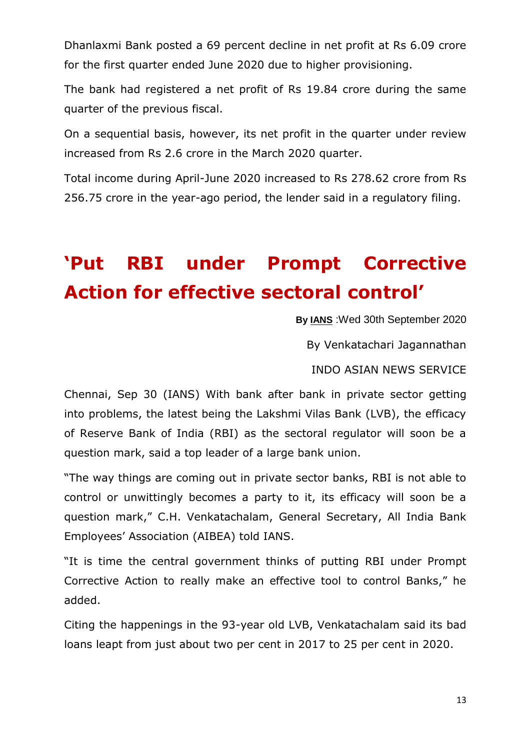Dhanlaxmi Bank posted a 69 percent decline in net profit at Rs 6.09 crore for the first quarter ended June 2020 due to higher provisioning.

The bank had registered a net profit of Rs 19.84 crore during the same quarter of the previous fiscal.

On a sequential basis, however, its net profit in the quarter under review increased from Rs 2.6 crore in the March 2020 quarter.

Total income during April-June 2020 increased to Rs 278.62 crore from Rs 256.75 crore in the year-ago period, the lender said in a regulatory filing.

## **"Put RBI under Prompt Corrective Action for effective sectoral control"**

**By [IANS](https://newsd.in/author/ians/)** :Wed 30th September 2020

By Venkatachari Jagannathan

INDO ASIAN NEWS SERVICE

Chennai, Sep 30 (IANS) With bank after bank in private sector getting into problems, the latest being the Lakshmi Vilas Bank (LVB), the efficacy of Reserve Bank of India (RBI) as the sectoral regulator will soon be a question mark, said a top leader of a large bank union.

"The way things are coming out in private sector banks, RBI is not able to control or unwittingly becomes a party to it, its efficacy will soon be a question mark," C.H. Venkatachalam, General Secretary, All India Bank Employees' Association (AIBEA) told IANS.

"It is time the central government thinks of putting RBI under Prompt Corrective Action to really make an effective tool to control Banks," he added.

Citing the happenings in the 93-year old LVB, Venkatachalam said its bad loans leapt from just about two per cent in 2017 to 25 per cent in 2020.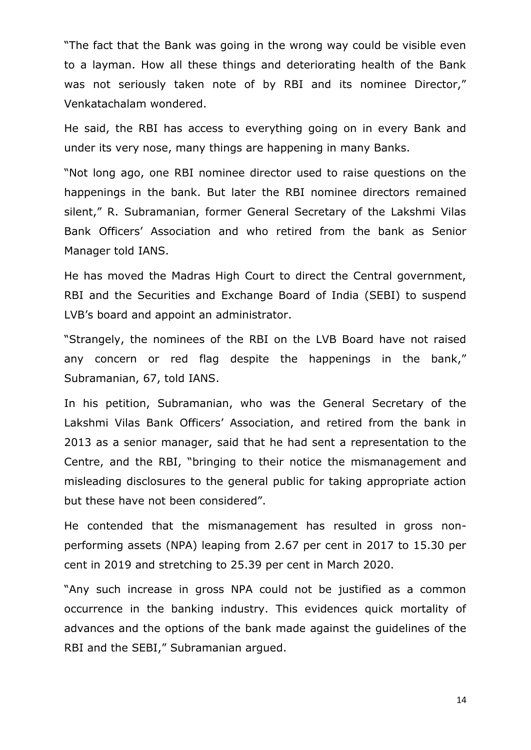"The fact that the Bank was going in the wrong way could be visible even to a layman. How all these things and deteriorating health of the Bank was not seriously taken note of by RBI and its nominee Director," Venkatachalam wondered.

He said, the RBI has access to everything going on in every Bank and under its very nose, many things are happening in many Banks.

"Not long ago, one RBI nominee director used to raise questions on the happenings in the bank. But later the RBI nominee directors remained silent," R. Subramanian, former General Secretary of the Lakshmi Vilas Bank Officers' Association and who retired from the bank as Senior Manager told IANS.

He has moved the Madras High Court to direct the Central government, RBI and the Securities and Exchange Board of India (SEBI) to suspend LVB's board and appoint an administrator.

"Strangely, the nominees of the RBI on the LVB Board have not raised any concern or red flag despite the happenings in the bank," Subramanian, 67, told IANS.

In his petition, Subramanian, who was the General Secretary of the Lakshmi Vilas Bank Officers' Association, and retired from the bank in 2013 as a senior manager, said that he had sent a representation to the Centre, and the RBI, "bringing to their notice the mismanagement and misleading disclosures to the general public for taking appropriate action but these have not been considered".

He contended that the mismanagement has resulted in gross nonperforming assets (NPA) leaping from 2.67 per cent in 2017 to 15.30 per cent in 2019 and stretching to 25.39 per cent in March 2020.

"Any such increase in gross NPA could not be justified as a common occurrence in the banking industry. This evidences quick mortality of advances and the options of the bank made against the guidelines of the RBI and the SEBI," Subramanian argued.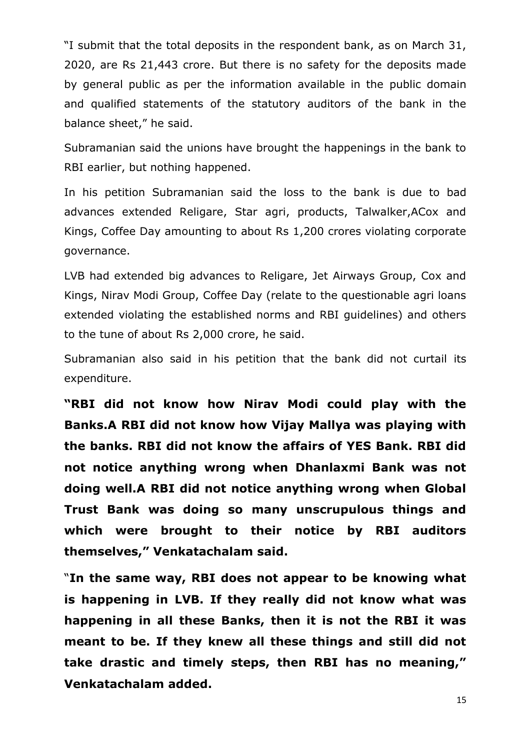―I submit that the total deposits in the respondent bank, as on March 31, 2020, are Rs 21,443 crore. But there is no safety for the deposits made by general public as per the information available in the public domain and qualified statements of the statutory auditors of the bank in the balance sheet," he said.

Subramanian said the unions have brought the happenings in the bank to RBI earlier, but nothing happened.

In his petition Subramanian said the loss to the bank is due to bad advances extended Religare, Star agri, products, Talwalker,ACox and Kings, Coffee Day amounting to about Rs 1,200 crores violating corporate governance.

LVB had extended big advances to Religare, Jet Airways Group, Cox and Kings, Nirav Modi Group, Coffee Day (relate to the questionable agri loans extended violating the established norms and RBI guidelines) and others to the tune of about Rs 2,000 crore, he said.

Subramanian also said in his petition that the bank did not curtail its expenditure.

**"RBI did not know how Nirav Modi could play with the Banks.A RBI did not know how Vijay Mallya was playing with the banks. RBI did not know the affairs of YES Bank. RBI did not notice anything wrong when Dhanlaxmi Bank was not doing well.A RBI did not notice anything wrong when Global Trust Bank was doing so many unscrupulous things and which were brought to their notice by RBI auditors themselves," Venkatachalam said.**

―**In the same way, RBI does not appear to be knowing what is happening in LVB. If they really did not know what was happening in all these Banks, then it is not the RBI it was meant to be. If they knew all these things and still did not take drastic and timely steps, then RBI has no meaning," Venkatachalam added.**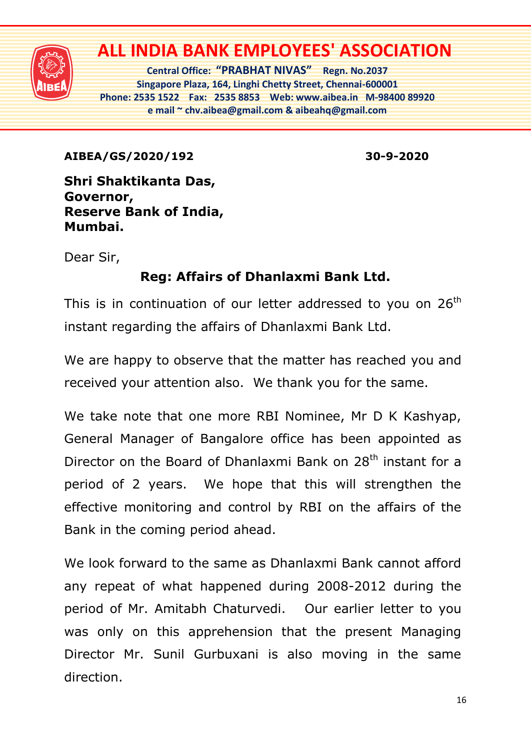

## **ALL INDIA BANK EMPLOYEES' ASSOCIATION**

**Central Office: "PRABHAT NIVAS" Regn. No.2037 Singapore Plaza, 164, Linghi Chetty Street, Chennai-600001 Phone: 2535 1522 Fax: 2535 8853 Web: www.aibea.in M-98400 89920 e mail ~ chv.aibea@gmail.com & aibeahq@gmail.com**

**AIBEA/GS/2020/192 30-9-2020** 

**Shri Shaktikanta Das, Governor, Reserve Bank of India, Mumbai.**

Dear Sir,

### **Reg: Affairs of Dhanlaxmi Bank Ltd.**

This is in continuation of our letter addressed to you on 26<sup>th</sup> instant regarding the affairs of Dhanlaxmi Bank Ltd.

We are happy to observe that the matter has reached you and received your attention also. We thank you for the same.

We take note that one more RBI Nominee, Mr D K Kashyap, General Manager of Bangalore office has been appointed as Director on the Board of Dhanlaxmi Bank on 28<sup>th</sup> instant for a period of 2 years. We hope that this will strengthen the effective monitoring and control by RBI on the affairs of the Bank in the coming period ahead.

We look forward to the same as Dhanlaxmi Bank cannot afford any repeat of what happened during 2008-2012 during the period of Mr. Amitabh Chaturvedi. Our earlier letter to you was only on this apprehension that the present Managing Director Mr. Sunil Gurbuxani is also moving in the same direction.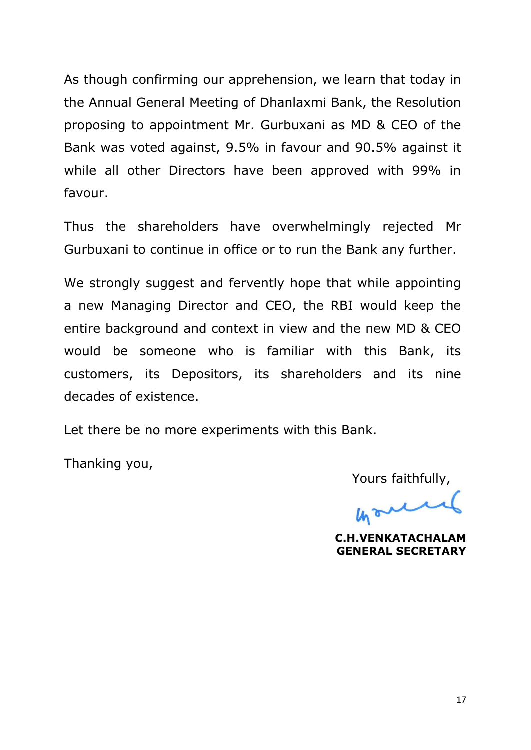As though confirming our apprehension, we learn that today in the Annual General Meeting of Dhanlaxmi Bank, the Resolution proposing to appointment Mr. Gurbuxani as MD & CEO of the Bank was voted against, 9.5% in favour and 90.5% against it while all other Directors have been approved with 99% in favour.

Thus the shareholders have overwhelmingly rejected Mr Gurbuxani to continue in office or to run the Bank any further.

We strongly suggest and fervently hope that while appointing a new Managing Director and CEO, the RBI would keep the entire background and context in view and the new MD & CEO would be someone who is familiar with this Bank, its customers, its Depositors, its shareholders and its nine decades of existence.

Let there be no more experiments with this Bank.

Thanking you,

Yours faithfully,

Would

**C.H.VENKATACHALAM GENERAL SECRETARY**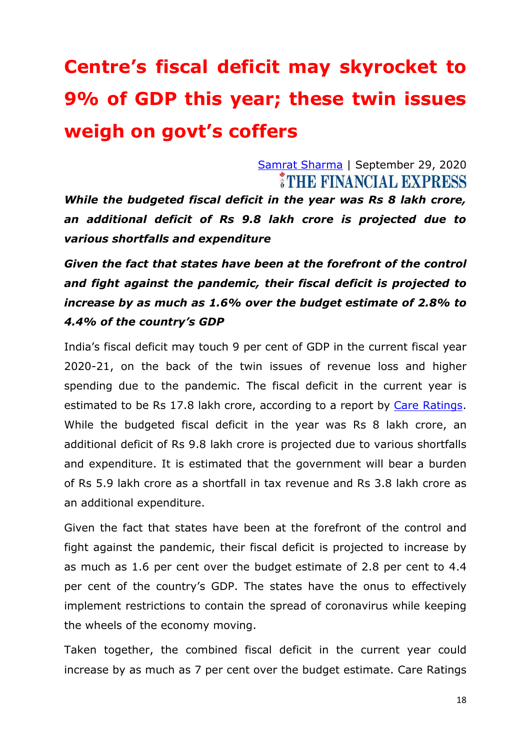# **Centre"s fiscal deficit may skyrocket to 9% of GDP this year; these twin issues weigh on govt"s coffers**

[Samrat Sharma](https://www.financialexpress.com/author/samrat-sharma/) | September 29, 2020 THE FINANCIAL EXPRESS

*While the budgeted fiscal deficit in the year was Rs 8 lakh crore, an additional deficit of Rs 9.8 lakh crore is projected due to various shortfalls and expenditure*

*Given the fact that states have been at the forefront of the control and fight against the pandemic, their fiscal deficit is projected to increase by as much as 1.6% over the budget estimate of 2.8% to 4.4% of the country's GDP*

India's fiscal deficit may touch 9 per cent of GDP in the current fiscal year 2020-21, on the back of the twin issues of revenue loss and higher spending due to the pandemic. The fiscal deficit in the current year is estimated to be Rs 17.8 lakh crore, according to a report by Care [Ratings.](https://www.financialexpress.com/market/stock-market/care-ratings-ltd-stock-price/) While the budgeted fiscal deficit in the year was Rs 8 lakh crore, an additional deficit of Rs 9.8 lakh crore is projected due to various shortfalls and expenditure. It is estimated that the government will bear a burden of Rs 5.9 lakh crore as a shortfall in tax revenue and Rs 3.8 lakh crore as an additional expenditure.

Given the fact that states have been at the forefront of the control and fight against the pandemic, their fiscal deficit is projected to increase by as much as 1.6 per cent over the budget estimate of 2.8 per cent to 4.4 per cent of the country's GDP. The states have the onus to effectively implement restrictions to contain the spread of coronavirus while keeping the wheels of the economy moving.

Taken together, the combined fiscal deficit in the current year could increase by as much as 7 per cent over the budget estimate. Care Ratings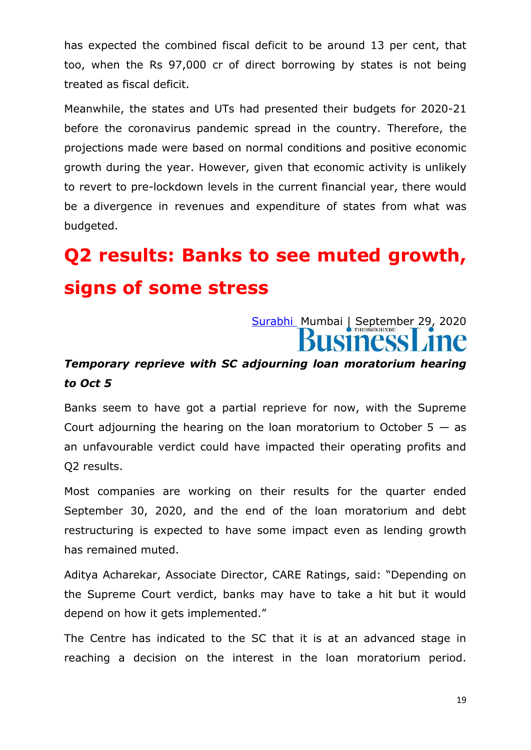has expected the combined fiscal deficit to be around 13 per cent, that too, when the Rs 97,000 cr of direct borrowing by states is not being treated as fiscal deficit.

Meanwhile, the states and UTs had presented their budgets for 2020-21 before the coronavirus pandemic spread in the country. Therefore, the projections made were based on normal conditions and positive economic growth during the year. However, given that economic activity is unlikely to revert to pre-lockdown levels in the current financial year, there would be a divergence in revenues and expenditure of states from what was budgeted.

**Q2 results: Banks to see muted growth, signs of some stress**

## [Surabhi](https://www.thehindubusinessline.com/profile/author/Surabhi-16082/) Mumbai | September 29, 2020 **SINESS**

#### *Temporary reprieve with SC adjourning loan moratorium hearing to Oct 5*

Banks seem to have got a partial reprieve for now, with the Supreme Court adjourning the hearing on the loan moratorium to October  $5 - as$ an unfavourable verdict could have impacted their operating profits and Q2 results.

Most companies are working on their results for the quarter ended September 30, 2020, and the end of the loan moratorium and debt restructuring is expected to have some impact even as lending growth has remained muted.

Aditya Acharekar, Associate Director, CARE Ratings, said: "Depending on the Supreme Court verdict, banks may have to take a hit but it would depend on how it gets implemented."

The Centre has indicated to the SC that it is at an advanced stage in reaching a decision on the interest in the loan moratorium period.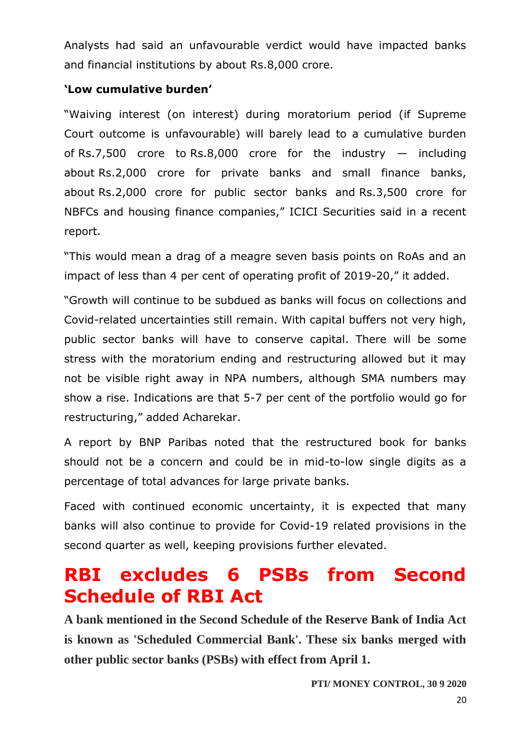Analysts had said an unfavourable verdict would have impacted banks and financial institutions by about Rs.8,000 crore.

#### **"Low cumulative burden"**

―Waiving interest (on interest) during moratorium period (if Supreme Court outcome is unfavourable) will barely lead to a cumulative burden of Rs.7,500 crore to Rs.8,000 crore for the industry  $-$  including about Rs.2,000 crore for private banks and small finance banks, about Rs.2,000 crore for public sector banks and Rs.3,500 crore for NBFCs and housing finance companies," ICICI Securities said in a recent report.

"This would mean a drag of a meagre seven basis points on RoAs and an impact of less than 4 per cent of operating profit of 2019-20," it added.

―Growth will continue to be subdued as banks will focus on collections and Covid-related uncertainties still remain. With capital buffers not very high, public sector banks will have to conserve capital. There will be some stress with the moratorium ending and restructuring allowed but it may not be visible right away in NPA numbers, although SMA numbers may show a rise. Indications are that 5-7 per cent of the portfolio would go for restructuring," added Acharekar.

A report by BNP Paribas noted that the restructured book for banks should not be a concern and could be in mid-to-low single digits as a percentage of total advances for large private banks.

Faced with continued economic uncertainty, it is expected that many banks will also continue to provide for Covid-19 related provisions in the second quarter as well, keeping provisions further elevated.

## **RBI excludes 6 PSBs from Second Schedule of RBI Act**

**A bank mentioned in the Second Schedule of the Reserve Bank of India Act is known as 'Scheduled Commercial Bank'. These six banks merged with other public sector banks (PSBs) with effect from April 1.**